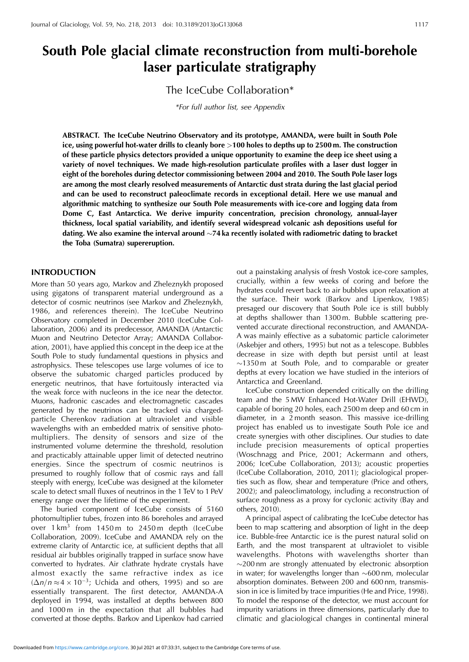# **South Pole glacial climate reconstruction from multi-borehole laser particulate stratigraphy**

The IceCube Collaboration\*

*\*For full author list, see Appendix*

**ABSTRACT. The IceCube Neutrino Observatory and its prototype, AMANDA, were built in South Pole ice, using powerful hot-water drills to cleanly bore** *>***100 holes to depths up to 2500 m. The construction of these particle physics detectors provided a unique opportunity to examine the deep ice sheet using a variety of novel techniques. We made high-resolution particulate profiles with a laser dust logger in eight of the boreholes during detector commissioning between 2004 and 2010. The South Pole laser logs are among the most clearly resolved measurements of Antarctic dust strata during the last glacial period and can be used to reconstruct paleoclimate records in exceptional detail. Here we use manual and algorithmic matching to synthesize our South Pole measurements with ice-core and logging data from Dome C, East Antarctica. We derive impurity concentration, precision chronology, annual-layer thickness, local spatial variability, and identify several widespread volcanic ash depositions useful for dating. We also examine the interval around 74 ka recently isolated with radiometric dating to bracket the Toba (Sumatra) supereruption.**

# **INTRODUCTION**

More than 50 years ago, Markov and Zheleznykh proposed using gigatons of transparent material underground as a detector of cosmic neutrinos (see Markov and Zheleznykh, 1986, and references therein). The IceCube Neutrino Observatory completed in December 2010 (IceCube Collaboration, 2006) and its predecessor, AMANDA (Antarctic Muon and Neutrino Detector Array; AMANDA Collaboration, 2001), have applied this concept in the deep ice at the South Pole to study fundamental questions in physics and astrophysics. These telescopes use large volumes of ice to observe the subatomic charged particles produced by energetic neutrinos, that have fortuitously interacted via the weak force with nucleons in the ice near the detector. Muons, hadronic cascades and electromagnetic cascades generated by the neutrinos can be tracked via chargedparticle Cherenkov radiation at ultraviolet and visible wavelengths with an embedded matrix of sensitive photomultipliers. The density of sensors and size of the instrumented volume determine the threshold, resolution and practicably attainable upper limit of detected neutrino energies. Since the spectrum of cosmic neutrinos is presumed to roughly follow that of cosmic rays and fall steeply with energy, IceCube was designed at the kilometer scale to detect small fluxes of neutrinos in the 1 TeV to 1 PeV energy range over the lifetime of the experiment.

The buried component of IceCube consists of 5160 photomultiplier tubes, frozen into 86 boreholes and arrayed over 1 km<sup>3</sup> from 1450 m to 2450 m depth (IceCube Collaboration, 2009). IceCube and AMANDA rely on the extreme clarity of Antarctic ice, at sufficient depths that all residual air bubbles originally trapped in surface snow have converted to hydrates. Air clathrate hydrate crystals have almost exactly the same refractive index as ice  $(\Delta n/n \approx 4 \times 10^{-3})$ ; Uchida and others, 1995) and so are essentially transparent. The first detector, AMANDA-A deployed in 1994, was installed at depths between 800 and 1000 m in the expectation that all bubbles had converted at those depths. Barkov and Lipenkov had carried

out a painstaking analysis of fresh Vostok ice-core samples, crucially, within a few weeks of coring and before the hydrates could revert back to air bubbles upon relaxation at the surface. Their work (Barkov and Lipenkov, 1985) presaged our discovery that South Pole ice is still bubbly at depths shallower than 1300 m. Bubble scattering prevented accurate directional reconstruction, and AMANDA-A was mainly effective as a subatomic particle calorimeter (Askebjer and others, 1995) but not as a telescope. Bubbles decrease in size with depth but persist until at least  $\sim$ 1350 m at South Pole, and to comparable or greater depths at every location we have studied in the interiors of Antarctica and Greenland.

IceCube construction depended critically on the drilling team and the 5 MW Enhanced Hot-Water Drill (EHWD), capable of boring 20 holes, each 2500 m deep and 60 cm in diameter, in a 2 month season. This massive ice-drilling project has enabled us to investigate South Pole ice and create synergies with other disciplines. Our studies to date include precision measurements of optical properties (Woschnagg and Price, 2001; Ackermann and others, 2006; IceCube Collaboration, 2013); acoustic properties (IceCube Collaboration, 2010, 2011); glaciological properties such as flow, shear and temperature (Price and others, 2002); and paleoclimatology, including a reconstruction of surface roughness as a proxy for cyclonic activity (Bay and others, 2010).

A principal aspect of calibrating the IceCube detector has been to map scattering and absorption of light in the deep ice. Bubble-free Antarctic ice is the purest natural solid on Earth, and the most transparent at ultraviolet to visible wavelengths. Photons with wavelengths shorter than  $\sim$ 200 nm are strongly attenuated by electronic absorption in water; for wavelengths longer than  $\sim 600$  nm, molecular absorption dominates. Between 200 and 600 nm, transmission in ice is limited by trace impurities (He and Price, 1998). To model the response of the detector, we must account for impurity variations in three dimensions, particularly due to climatic and glaciological changes in continental mineral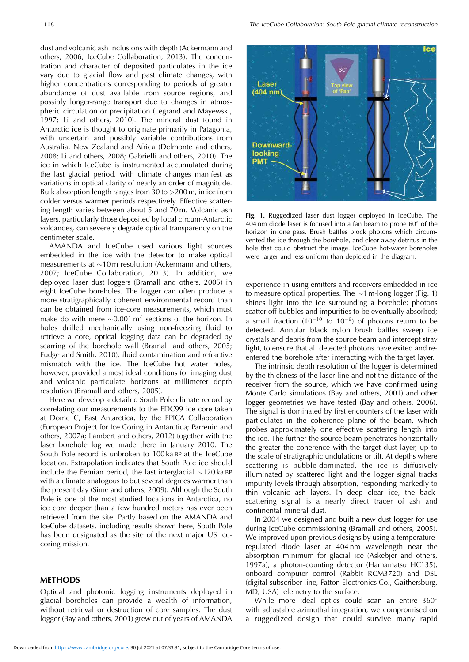dust and volcanic ash inclusions with depth (Ackermann and others, 2006; IceCube Collaboration, 2013). The concentration and character of deposited particulates in the ice vary due to glacial flow and past climate changes, with higher concentrations corresponding to periods of greater abundance of dust available from source regions, and possibly longer-range transport due to changes in atmospheric circulation or precipitation (Legrand and Mayewski, 1997; Li and others, 2010). The mineral dust found in Antarctic ice is thought to originate primarily in Patagonia, with uncertain and possibly variable contributions from Australia, New Zealand and Africa (Delmonte and others, 2008; Li and others, 2008; Gabrielli and others, 2010). The ice in which IceCube is instrumented accumulated during the last glacial period, with climate changes manifest as variations in optical clarity of nearly an order of magnitude. Bulk absorption length ranges from 30 to *>*200 m, in ice from colder versus warmer periods respectively. Effective scattering length varies between about 5 and 70 m. Volcanic ash layers, particularly those deposited by local circum-Antarctic volcanoes, can severely degrade optical transparency on the centimeter scale.

AMANDA and IceCube used various light sources embedded in the ice with the detector to make optical measurements at  $\sim$ 10 m resolution (Ackermann and others, 2007; IceCube Collaboration, 2013). In addition, we deployed laser dust loggers (Bramall and others, 2005) in eight IceCube boreholes. The logger can often produce a more stratigraphically coherent environmental record than can be obtained from ice-core measurements, which must make do with mere  $\sim 0.001 \,\mathrm{m}^2$  sections of the horizon. In holes drilled mechanically using non-freezing fluid to retrieve a core, optical logging data can be degraded by scarring of the borehole wall (Bramall and others, 2005; Fudge and Smith, 2010), fluid contamination and refractive mismatch with the ice. The IceCube hot water holes, however, provided almost ideal conditions for imaging dust and volcanic particulate horizons at millimeter depth resolution (Bramall and others, 2005).

Here we develop a detailed South Pole climate record by correlating our measurements to the EDC99 ice core taken at Dome C, East Antarctica, by the EPICA Collaboration (European Project for Ice Coring in Antarctica; Parrenin and others, 2007a; Lambert and others, 2012) together with the laser borehole log we made there in January 2010. The South Pole record is unbroken to 100 ka BP at the IceCube location. Extrapolation indicates that South Pole ice should include the Eemian period, the last interglacial  $\sim$ 120 ka BP with a climate analogous to but several degrees warmer than the present day (Sime and others, 2009). Although the South Pole is one of the most studied locations in Antarctica, no ice core deeper than a few hundred meters has ever been retrieved from the site. Partly based on the AMANDA and IceCube datasets, including results shown here, South Pole has been designated as the site of the next major US icecoring mission.

#### **METHODS**

Optical and photonic logging instruments deployed in glacial boreholes can provide a wealth of information, without retrieval or destruction of core samples. The dust logger (Bay and others, 2001) grew out of years of AMANDA



**Fig. 1.** Ruggedized laser dust logger deployed in IceCube. The  $404 \text{ nm}$  diode laser is focused into a fan beam to probe  $60^{\circ}$  of the horizon in one pass. Brush baffles block photons which circumvented the ice through the borehole, and clear away detritus in the hole that could obstruct the image. IceCube hot-water boreholes were larger and less uniform than depicted in the diagram.

experience in using emitters and receivers embedded in ice to measure optical properties. The  $\sim$ 1 m-long logger (Fig. 1) shines light into the ice surrounding a borehole; photons scatter off bubbles and impurities to be eventually absorbed; a small fraction (10<sup>-10</sup> to 10<sup>-6</sup>) of photons return to be detected. Annular black nylon brush baffles sweep ice crystals and debris from the source beam and intercept stray light, to ensure that all detected photons have exited and reentered the borehole after interacting with the target layer.

The intrinsic depth resolution of the logger is determined by the thickness of the laser line and not the distance of the receiver from the source, which we have confirmed using Monte Carlo simulations (Bay and others, 2001) and other logger geometries we have tested (Bay and others, 2006). The signal is dominated by first encounters of the laser with particulates in the coherence plane of the beam, which probes approximately one effective scattering length into the ice. The further the source beam penetrates horizontally the greater the coherence with the target dust layer, up to the scale of stratigraphic undulations or tilt. At depths where scattering is bubble-dominated, the ice is diffusively illuminated by scattered light and the logger signal tracks impurity levels through absorption, responding markedly to thin volcanic ash layers. In deep clear ice, the backscattering signal is a nearly direct tracer of ash and continental mineral dust.

In 2004 we designed and built a new dust logger for use during IceCube commissioning (Bramall and others, 2005). We improved upon previous designs by using a temperatureregulated diode laser at 404 nm wavelength near the absorption minimum for glacial ice (Askebjer and others, 1997a), a photon-counting detector (Hamamatsu HC135), onboard computer control (Rabbit RCM3720) and DSL (digital subscriber line, Patton Electronics Co., Gaithersburg, MD, USA) telemetry to the surface.

While more ideal optics could scan an entire  $360^\circ$ with adjustable azimuthal integration, we compromised on a ruggedized design that could survive many rapid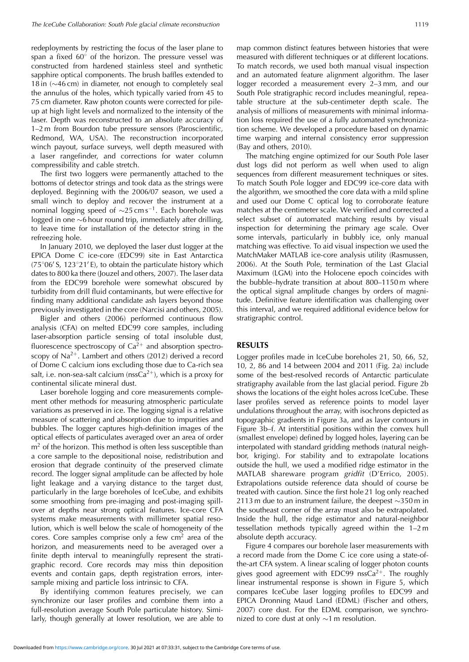redeployments by restricting the focus of the laser plane to span a fixed  $60^{\circ}$  of the horizon. The pressure vessel was constructed from hardened stainless steel and synthetic sapphire optical components. The brush baffles extended to 18 in  $(\sim 46 \text{ cm})$  in diameter, not enough to completely seal the annulus of the holes, which typically varied from 45 to 75 cm diameter. Raw photon counts were corrected for pileup at high light levels and normalized to the intensity of the laser. Depth was reconstructed to an absolute accuracy of 1–2 m from Bourdon tube pressure sensors (Paroscientific, Redmond, WA, USA). The reconstruction incorporated winch payout, surface surveys, well depth measured with a laser rangefinder, and corrections for water column compressibility and cable stretch.

The first two loggers were permanently attached to the bottoms of detector strings and took data as the strings were deployed. Beginning with the 2006/07 season, we used a small winch to deploy and recover the instrument at a nominal logging speed of  $\sim$ 25 cm s<sup>-1</sup>. Each borehole was logged in one  $\sim$ 6 hour round trip, immediately after drilling, to leave time for installation of the detector string in the refreezing hole.

In January 2010, we deployed the laser dust logger at the EPICA Dome C ice-core (EDC99) site in East Antarctica  $(75^{\circ}06^{\prime}$  S, 123°21' E), to obtain the particulate history which dates to 800 ka there (Jouzel and others, 2007). The laser data from the EDC99 borehole were somewhat obscured by turbidity from drill fluid contaminants, but were effective for finding many additional candidate ash layers beyond those previously investigated in the core (Narcisi and others, 2005).

Bigler and others (2006) performed continuous flow analysis (CFA) on melted EDC99 core samples, including laser-absorption particle sensing of total insoluble dust, fluorescence spectroscopy of  $Ca^{2+}$  and absorption spectroscopy of Na<sup>2+</sup>. Lambert and others (2012) derived a record of Dome C calcium ions excluding those due to Ca-rich sea salt, i.e. non-sea-salt calcium ( $nssCa^{2+}$ ), which is a proxy for continental silicate mineral dust.

Laser borehole logging and core measurements complement other methods for measuring atmospheric particulate variations as preserved in ice. The logging signal is a relative measure of scattering and absorption due to impurities and bubbles. The logger captures high-definition images of the optical effects of particulates averaged over an area of order  $m<sup>2</sup>$  of the horizon. This method is often less susceptible than a core sample to the depositional noise, redistribution and erosion that degrade continuity of the preserved climate record. The logger signal amplitude can be affected by hole light leakage and a varying distance to the target dust, particularly in the large boreholes of IceCube, and exhibits some smoothing from pre-imaging and post-imaging spillover at depths near strong optical features. Ice-core CFA systems make measurements with millimeter spatial resolution, which is well below the scale of homogeneity of the cores. Core samples comprise only a few  $cm<sup>2</sup>$  area of the horizon, and measurements need to be averaged over a finite depth interval to meaningfully represent the stratigraphic record. Core records may miss thin deposition events and contain gaps, depth registration errors, intersample mixing and particle loss intrinsic to CFA.

By identifying common features precisely, we can synchronize our laser profiles and combine them into a full-resolution average South Pole particulate history. Similarly, though generally at lower resolution, we are able to map common distinct features between histories that were measured with different techniques or at different locations. To match records, we used both manual visual inspection and an automated feature alignment algorithm. The laser logger recorded a measurement every 2–3 mm, and our South Pole stratigraphic record includes meaningful, repeatable structure at the sub-centimeter depth scale. The analysis of millions of measurements with minimal information loss required the use of a fully automated synchronization scheme. We developed a procedure based on dynamic time warping and internal consistency error suppression (Bay and others, 2010).

The matching engine optimized for our South Pole laser dust logs did not perform as well when used to align sequences from different measurement techniques or sites. To match South Pole logger and EDC99 ice-core data with the algorithm, we smoothed the core data with a mild spline and used our Dome C optical log to corroborate feature matches at the centimeter scale. We verified and corrected a select subset of automated matching results by visual inspection for determining the primary age scale. Over some intervals, particularly in bubbly ice, only manual matching was effective. To aid visual inspection we used the MatchMaker MATLAB ice-core analysis utility (Rasmussen, 2006). At the South Pole, termination of the Last Glacial Maximum (LGM) into the Holocene epoch coincides with the bubble–hydrate transition at about 800–1150 m where the optical signal amplitude changes by orders of magnitude. Definitive feature identification was challenging over this interval, and we required additional evidence below for stratigraphic control.

#### **RESULTS**

Logger profiles made in IceCube boreholes 21, 50, 66, 52, 10, 2, 86 and 14 between 2004 and 2011 (Fig. 2a) include some of the best-resolved records of Antarctic particulate stratigraphy available from the last glacial period. Figure 2b shows the locations of the eight holes across IceCube. These laser profiles served as reference points to model layer undulations throughout the array, with isochrons depicted as topographic gradients in Figure 3a, and as layer contours in Figure 3b–f. At interstitial positions within the convex hull (smallest envelope) defined by logged holes, layering can be interpolated with standard gridding methods (natural neighbor, kriging). For stability and to extrapolate locations outside the hull, we used a modified ridge estimator in the MATLAB shareware program *gridfit* (D'Errico, 2005). Extrapolations outside reference data should of course be treated with caution. Since the first hole 21 log only reached 2113 m due to an instrument failure, the deepest  $\sim$ 350 m in the southeast corner of the array must also be extrapolated. Inside the hull, the ridge estimator and natural-neighbor tessellation methods typically agreed within the 1–2 m absolute depth accuracy.

Figure 4 compares our borehole laser measurements with a record made from the Dome C ice core using a state-ofthe-art CFA system. A linear scaling of logger photon counts gives good agreement with EDC99 nss $Ca^{2+}$ . The roughly linear instrumental response is shown in Figure 5, which compares IceCube laser logging profiles to EDC99 and EPICA Dronning Maud Land (EDML) (Fischer and others, 2007) core dust. For the EDML comparison, we synchronized to core dust at only  $\sim$ 1 m resolution.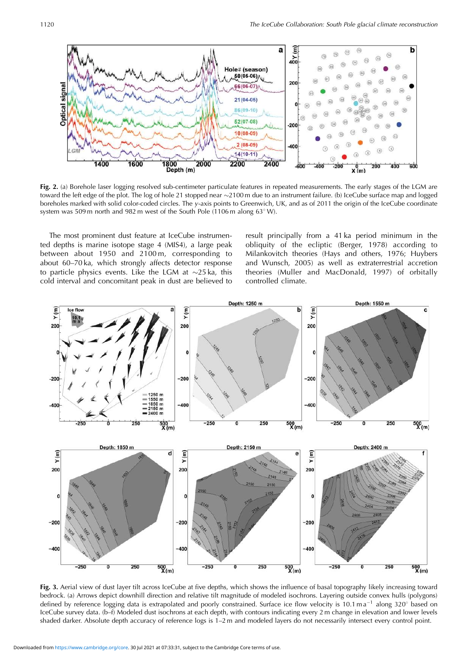

**Fig. 2.** (a) Borehole laser logging resolved sub-centimeter particulate features in repeated measurements. The early stages of the LGM are toward the left edge of the plot. The log of hole 21 stopped near ~2100 m due to an instrument failure. (b) IceCube surface map and logged boreholes marked with solid color-coded circles. The *y*-axis points to Greenwich, UK, and as of 2011 the origin of the IceCube coordinate system was 509 m north and 982 m west of the South Pole (1106 m along  $63^{\circ}$  W).

The most prominent dust feature at IceCube instrumented depths is marine isotope stage 4 (MIS4), a large peak between about 1950 and 2100 m, corresponding to about 60–70 ka, which strongly affects detector response to particle physics events. Like the LGM at  $\sim$ 25 ka, this cold interval and concomitant peak in dust are believed to result principally from a 41 ka period minimum in the obliquity of the ecliptic (Berger, 1978) according to Milankovitch theories (Hays and others, 1976; Huybers and Wunsch, 2005) as well as extraterrestrial accretion theories (Muller and MacDonald, 1997) of orbitally controlled climate.



**Fig. 3.** Aerial view of dust layer tilt across IceCube at five depths, which shows the influence of basal topography likely increasing toward bedrock. (a) Arrows depict downhill direction and relative tilt magnitude of modeled isochrons. Layering outside convex hulls (polygons) defined by reference logging data is extrapolated and poorly constrained. Surface ice flow velocity is 10.1 m  $a^{-1}$  along 320° based on IceCube survey data. (b–f) Modeled dust isochrons at each depth, with contours indicating every 2 m change in elevation and lower levels shaded darker. Absolute depth accuracy of reference logs is 1–2 m and modeled layers do not necessarily intersect every control point.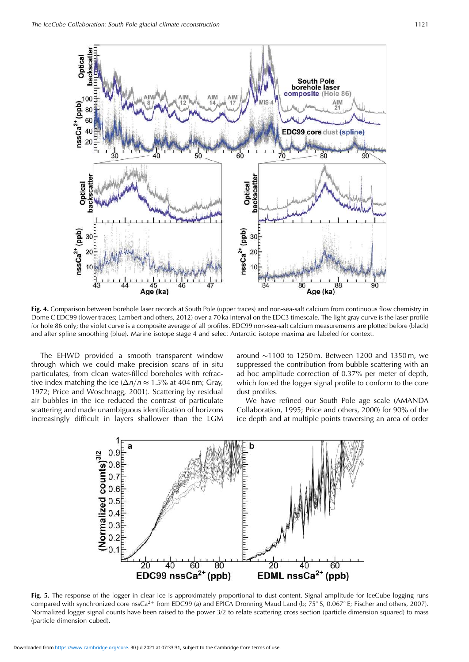

**Fig. 4.** Comparison between borehole laser records at South Pole (upper traces) and non-sea-salt calcium from continuous flow chemistry in Dome C EDC99 (lower traces; Lambert and others, 2012) over a 70 ka interval on the EDC3 timescale. The light gray curve is the laser profile for hole 86 only; the violet curve is a composite average of all profiles. EDC99 non-sea-salt calcium measurements are plotted before (black) and after spline smoothing (blue). Marine isotope stage 4 and select Antarctic isotope maxima are labeled for context.

The EHWD provided a smooth transparent window through which we could make precision scans of in situ particulates, from clean water-filled boreholes with refractive index matching the ice  $(\Delta n/n \approx 1.5\%$  at 404 nm; Gray, 1972; Price and Woschnagg, 2001). Scattering by residual air bubbles in the ice reduced the contrast of particulate scattering and made unambiguous identification of horizons increasingly difficult in layers shallower than the LGM

around  $\sim$ 1100 to 1250 m. Between 1200 and 1350 m, we suppressed the contribution from bubble scattering with an ad hoc amplitude correction of 0.37% per meter of depth, which forced the logger signal profile to conform to the core dust profiles.

We have refined our South Pole age scale (AMANDA Collaboration, 1995; Price and others, 2000) for 90% of the ice depth and at multiple points traversing an area of order



**Fig. 5.** The response of the logger in clear ice is approximately proportional to dust content. Signal amplitude for IceCube logging runs compared with synchronized core nssCa<sup>2+</sup> from EDC99 (a) and EPICA Dronning Maud Land (b; 75° S, 0.067° E; Fischer and others, 2007). Normalized logger signal counts have been raised to the power 3/2 to relate scattering cross section (particle dimension squared) to mass (particle dimension cubed).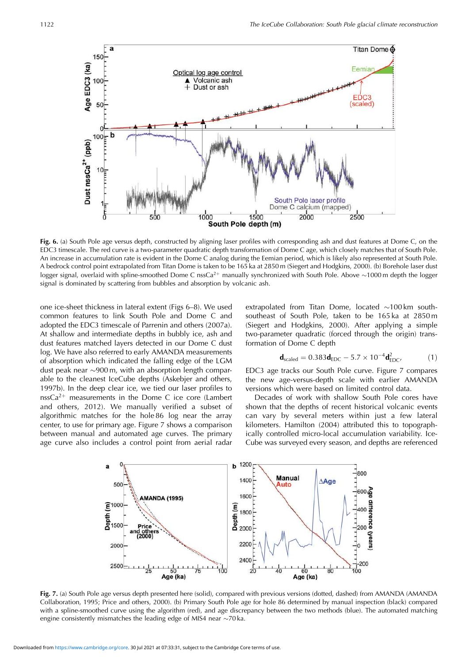

**Fig. 6.** (a) South Pole age versus depth, constructed by aligning laser profiles with corresponding ash and dust features at Dome C, on the EDC3 timescale. The red curve is a two-parameter quadratic depth transformation of Dome C age, which closely matches that of South Pole. An increase in accumulation rate is evident in the Dome C analog during the Eemian period, which is likely also represented at South Pole. A bedrock control point extrapolated from Titan Dome is taken to be 165 ka at 2850 m (Siegert and Hodgkins, 2000). (b) Borehole laser dust logger signal, overlaid with spline-smoothed Dome C nssCa<sup>2+</sup> manually synchronized with South Pole. Above  $\sim$ 1000 m depth the logger signal is dominated by scattering from bubbles and absorption by volcanic ash.

one ice-sheet thickness in lateral extent (Figs 6–8). We used common features to link South Pole and Dome C and adopted the EDC3 timescale of Parrenin and others (2007a). At shallow and intermediate depths in bubbly ice, ash and dust features matched layers detected in our Dome C dust log. We have also referred to early AMANDA measurements of absorption which indicated the falling edge of the LGM dust peak near  $\sim$ 900 m, with an absorption length comparable to the cleanest IceCube depths (Askebjer and others, 1997b). In the deep clear ice, we tied our laser profiles to nss $Ca^{2+}$  measurements in the Dome C ice core (Lambert and others, 2012). We manually verified a subset of algorithmic matches for the hole 86 log near the array center, to use for primary age. Figure 7 shows a comparison between manual and automated age curves. The primary age curve also includes a control point from aerial radar extrapolated from Titan Dome, located  $\sim$ 100 km southsoutheast of South Pole, taken to be 165 ka at 2850 m (Siegert and Hodgkins, 2000). After applying a simple two-parameter quadratic (forced through the origin) transformation of Dome C depth

$$
\mathbf{d}_{\text{scaled}} = 0.383 \mathbf{d}_{\text{EDC}} - 5.7 \times 10^{-4} \mathbf{d}_{\text{EDC}}^2, \tag{1}
$$

EDC3 age tracks our South Pole curve. Figure 7 compares the new age-versus-depth scale with earlier AMANDA versions which were based on limited control data.

Decades of work with shallow South Pole cores have shown that the depths of recent historical volcanic events can vary by several meters within just a few lateral kilometers. Hamilton (2004) attributed this to topographically controlled micro-local accumulation variability. Ice-Cube was surveyed every season, and depths are referenced



**Fig. 7.** (a) South Pole age versus depth presented here (solid), compared with previous versions (dotted, dashed) from AMANDA (AMANDA Collaboration, 1995; Price and others, 2000). (b) Primary South Pole age for hole 86 determined by manual inspection (black) compared with a spline-smoothed curve using the algorithm (red), and age discrepancy between the two methods (blue). The automated matching engine consistently mismatches the leading edge of MIS4 near  $\sim$ 70 ka.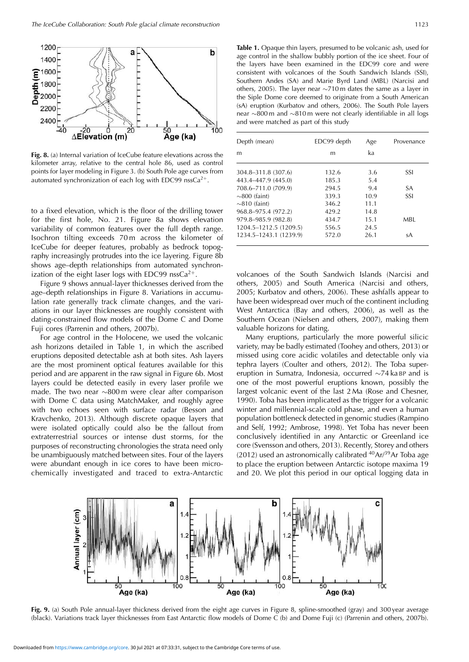

**Fig. 8.** (a) Internal variation of IceCube feature elevations across the kilometer array, relative to the central hole 86, used as control points for layer modeling in Figure 3. (b) South Pole age curves from automated synchronization of each log with EDC99 nss $Ca^{2+}$ .

to a fixed elevation, which is the floor of the drilling tower for the first hole, No. 21. Figure 8a shows elevation variability of common features over the full depth range. Isochron tilting exceeds 70 m across the kilometer of IceCube for deeper features, probably as bedrock topography increasingly protrudes into the ice layering. Figure 8b shows age–depth relationships from automated synchronization of the eight laser logs with EDC99 nss $Ca^{2+}$ .

Figure 9 shows annual-layer thicknesses derived from the age–depth relationships in Figure 8. Variations in accumulation rate generally track climate changes, and the variations in our layer thicknesses are roughly consistent with dating-constrained flow models of the Dome C and Dome Fuji cores (Parrenin and others, 2007b).

For age control in the Holocene, we used the volcanic ash horizons detailed in Table 1, in which the ascribed eruptions deposited detectable ash at both sites. Ash layers are the most prominent optical features available for this period and are apparent in the raw signal in Figure 6b. Most layers could be detected easily in every laser profile we made. The two near  $\sim 800$  m were clear after comparison with Dome C data using MatchMaker, and roughly agree with two echoes seen with surface radar (Besson and Kravchenko, 2013). Although discrete opaque layers that were isolated optically could also be the fallout from extraterrestrial sources or intense dust storms, for the purposes of reconstructing chronologies the strata need only be unambiguously matched between sites. Four of the layers were abundant enough in ice cores to have been microchemically investigated and traced to extra-Antarctic

**Table 1.** Opaque thin layers, presumed to be volcanic ash, used for age control in the shallow bubbly portion of the ice sheet. Four of the layers have been examined in the EDC99 core and were consistent with volcanoes of the South Sandwich Islands (SSI), Southern Andes (SA) and Marie Byrd Land (MBL) (Narcisi and others, 2005). The layer near  $\sim$ 710 m dates the same as a layer in the Siple Dome core deemed to originate from a South American (sA) eruption (Kurbatov and others, 2006). The South Pole layers near  $\sim$ 800 m and  $\sim$ 810 m were not clearly identifiable in all logs and were matched as part of this study

| Depth (mean)           | EDC99 depth | Age  | Provenance |
|------------------------|-------------|------|------------|
| m                      | m           | ka   |            |
|                        |             |      |            |
| 304.8-311.8 (307.6)    | 132.6       | 3.6  | SSI        |
| 443.4-447.9 (445.0)    | 185.3       | 5.4  |            |
| 708.6-711.0 (709.9)    | 294.5       | 9.4  | <b>SA</b>  |
| $\sim$ 800 (faint)     | 339.3       | 10.9 | SSI        |
| $\sim$ 810 (faint)     | 346.2       | 11.1 |            |
| 968.8-975.4 (972.2)    | 429.2       | 14.8 |            |
| 979.8-985.9 (982.8)    | 434.7       | 15.1 | MBL.       |
| 1204.5-1212.5 (1209.5) | 556.5       | 24.5 |            |
| 1234.5-1243.1 (1239.9) | 572.0       | 26.1 | sA         |

volcanoes of the South Sandwich Islands (Narcisi and others, 2005) and South America (Narcisi and others, 2005; Kurbatov and others, 2006). These ashfalls appear to have been widespread over much of the continent including West Antarctica (Bay and others, 2006), as well as the Southern Ocean (Nielsen and others, 2007), making them valuable horizons for dating.

Many eruptions, particularly the more powerful silicic variety, may be badly estimated (Toohey and others, 2013) or missed using core acidic volatiles and detectable only via tephra layers (Coulter and others, 2012). The Toba supereruption in Sumatra, Indonesia, occurred  $\sim$ 74 ka BP and is one of the most powerful eruptions known, possibly the largest volcanic event of the last 2 Ma (Rose and Chesner, 1990). Toba has been implicated as the trigger for a volcanic winter and millennial-scale cold phase, and even a human population bottleneck detected in genomic studies (Rampino and Self, 1992; Ambrose, 1998). Yet Toba has never been conclusively identified in any Antarctic or Greenland ice core (Svensson and others, 2013). Recently, Storey and others (2012) used an astronomically calibrated  $40Ar^{39}Ar$  Toba age to place the eruption between Antarctic isotope maxima 19 and 20. We plot this period in our optical logging data in



Fig. 9. (a) South Pole annual-layer thickness derived from the eight age curves in Figure 8, spline-smoothed (gray) and 300 year average (black). Variations track layer thicknesses from East Antarctic flow models of Dome C (b) and Dome Fuji (c) (Parrenin and others, 2007b).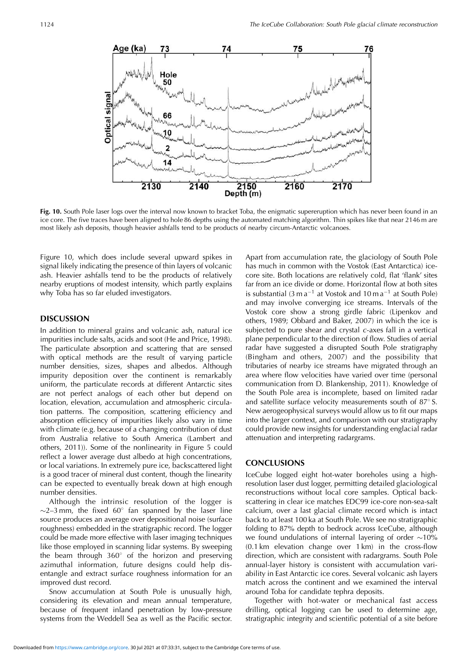

**Fig. 10.** South Pole laser logs over the interval now known to bracket Toba, the enigmatic supereruption which has never been found in an ice core. The five traces have been aligned to hole 86 depths using the automated matching algorithm. Thin spikes like that near 2146 m are most likely ash deposits, though heavier ashfalls tend to be products of nearby circum-Antarctic volcanoes.

Figure 10, which does include several upward spikes in signal likely indicating the presence of thin layers of volcanic ash. Heavier ashfalls tend to be the products of relatively nearby eruptions of modest intensity, which partly explains why Toba has so far eluded investigators.

# **DISCUSSION**

In addition to mineral grains and volcanic ash, natural ice impurities include salts, acids and soot (He and Price, 1998). The particulate absorption and scattering that are sensed with optical methods are the result of varying particle number densities, sizes, shapes and albedos. Although impurity deposition over the continent is remarkably uniform, the particulate records at different Antarctic sites are not perfect analogs of each other but depend on location, elevation, accumulation and atmospheric circulation patterns. The composition, scattering efficiency and absorption efficiency of impurities likely also vary in time with climate (e.g. because of a changing contribution of dust from Australia relative to South America (Lambert and others, 2011)). Some of the nonlinearity in Figure 5 could reflect a lower average dust albedo at high concentrations, or local variations. In extremely pure ice, backscattered light is a good tracer of mineral dust content, though the linearity can be expected to eventually break down at high enough number densities.

Although the intrinsic resolution of the logger is  $\sim$ 2–3 mm, the fixed 60 $^{\circ}$  fan spanned by the laser line source produces an average over depositional noise (surface roughness) embedded in the stratigraphic record. The logger could be made more effective with laser imaging techniques like those employed in scanning lidar systems. By sweeping the beam through  $360^{\circ}$  of the horizon and preserving azimuthal information, future designs could help disentangle and extract surface roughness information for an improved dust record.

Snow accumulation at South Pole is unusually high, considering its elevation and mean annual temperature, because of frequent inland penetration by low-pressure systems from the Weddell Sea as well as the Pacific sector.

Apart from accumulation rate, the glaciology of South Pole has much in common with the Vostok (East Antarctica) icecore site. Both locations are relatively cold, flat 'flank' sites far from an ice divide or dome. Horizontal flow at both sites is substantial (3 m  $a^{-1}$  at Vostok and 10 m  $a^{-1}$  at South Pole) and may involve converging ice streams. Intervals of the Vostok core show a strong girdle fabric (Lipenkov and others, 1989; Obbard and Baker, 2007) in which the ice is subjected to pure shear and crystal *c*-axes fall in a vertical plane perpendicular to the direction of flow. Studies of aerial radar have suggested a disrupted South Pole stratigraphy (Bingham and others, 2007) and the possibility that tributaries of nearby ice streams have migrated through an area where flow velocities have varied over time (personal communication from D. Blankenship, 2011). Knowledge of the South Pole area is incomplete, based on limited radar and satellite surface velocity measurements south of  $87^{\circ}$  S. New aerogeophysical surveys would allow us to fit our maps into the larger context, and comparison with our stratigraphy could provide new insights for understanding englacial radar attenuation and interpreting radargrams.

#### **CONCLUSIONS**

IceCube logged eight hot-water boreholes using a highresolution laser dust logger, permitting detailed glaciological reconstructions without local core samples. Optical backscattering in clear ice matches EDC99 ice-core non-sea-salt calcium, over a last glacial climate record which is intact back to at least 100 ka at South Pole. We see no stratigraphic folding to 87% depth to bedrock across IceCube, although we found undulations of internal layering of order  $\sim$ 10% (0.1 km elevation change over 1 km) in the cross-flow direction, which are consistent with radargrams. South Pole annual-layer history is consistent with accumulation variability in East Antarctic ice cores. Several volcanic ash layers match across the continent and we examined the interval around Toba for candidate tephra deposits.

Together with hot-water or mechanical fast access drilling, optical logging can be used to determine age, stratigraphic integrity and scientific potential of a site before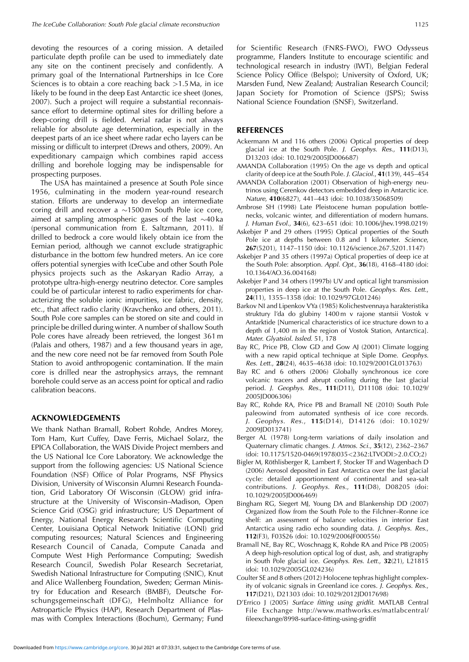devoting the resources of a coring mission. A detailed particulate depth profile can be used to immediately date any site on the continent precisely and confidently. A primary goal of the International Partnerships in Ice Core Sciences is to obtain a core reaching back *>*1.5 Ma, in ice likely to be found in the deep East Antarctic ice sheet (Jones, 2007). Such a project will require a substantial reconnaissance effort to determine optimal sites for drilling before a deep-coring drill is fielded. Aerial radar is not always reliable for absolute age determination, especially in the deepest parts of an ice sheet where radar echo layers can be missing or difficult to interpret (Drews and others, 2009). An expeditionary campaign which combines rapid access drilling and borehole logging may be indispensable for prospecting purposes.

The USA has maintained a presence at South Pole since 1956, culminating in the modern year-round research station. Efforts are underway to develop an intermediate coring drill and recover a  $\sim$ 1500 m South Pole ice core, aimed at sampling atmospheric gases of the last  $\sim$ 40 ka (personal communication from E. Saltzmann, 2011). If drilled to bedrock a core would likely obtain ice from the Eemian period, although we cannot exclude stratigraphic disturbance in the bottom few hundred meters. An ice core offers potential synergies with IceCube and other South Pole physics projects such as the Askaryan Radio Array, a prototype ultra-high-energy neutrino detector. Core samples could be of particular interest to radio experiments for characterizing the soluble ionic impurities, ice fabric, density, etc., that affect radio clarity (Kravchenko and others, 2011). South Pole core samples can be stored on site and could in principle be drilled during winter. A number of shallow South Pole cores have already been retrieved, the longest 361 m (Palais and others, 1987) and a few thousand years in age, and the new core need not be far removed from South Pole Station to avoid anthropogenic contamination. If the main core is drilled near the astrophysics arrays, the remnant borehole could serve as an access point for optical and radio calibration beacons.

## **ACKNOWLEDGEMENTS**

We thank Nathan Bramall, Robert Rohde, Andres Morey, Tom Ham, Kurt Cuffey, Dave Ferris, Michael Solarz, the EPICA Collaboration, the WAIS Divide Project members and the US National Ice Core Laboratory. We acknowledge the support from the following agencies: US National Science Foundation (NSF) Office of Polar Programs, NSF Physics Division, University of Wisconsin Alumni Research Foundation, Grid Laboratory Of Wisconsin (GLOW) grid infrastructure at the University of Wisconsin–Madison, Open Science Grid (OSG) grid infrastructure; US Department of Energy, National Energy Research Scientific Computing Center, Louisiana Optical Network Initiative (LONI) grid computing resources; Natural Sciences and Engineering Research Council of Canada, Compute Canada and Compute West High Performance Computing; Swedish Research Council, Swedish Polar Research Secretariat, Swedish National Infrastructure for Computing (SNIC), Knut and Alice Wallenberg Foundation, Sweden; German Ministry for Education and Research (BMBF), Deutsche Forschungsgemeinschaft (DFG), Helmholtz Alliance for Astroparticle Physics (HAP), Research Department of Plasmas with Complex Interactions (Bochum), Germany; Fund

for Scientific Research (FNRS-FWO), FWO Odysseus programme, Flanders Institute to encourage scientific and technological research in industry (IWT), Belgian Federal Science Policy Office (Belspo); University of Oxford, UK; Marsden Fund, New Zealand; Australian Research Council; Japan Society for Promotion of Science (JSPS); Swiss National Science Foundation (SNSF), Switzerland.

#### **REFERENCES**

- Ackermann M and 116 others (2006) Optical properties of deep glacial ice at the South Pole. *J. Geophys. Res.*, **111**(D13), D13203 (doi: 10.1029/2005JD006687)
- AMANDA Collaboration (1995) On the age vs depth and optical clarity of deep ice at the South Pole. *J. Glaciol.*, **41**(139), 445–454
- AMANDA Collaboration (2001) Observation of high-energy neutrinos using Cerenkov detectors embedded deep in Antarctic ice. *Nature*, **410**(6827), 441–443 (doi: 10.1038/35068509)
- Ambrose SH (1998) Late Pleistocene human population bottlenecks, volcanic winter, and differentiation of modern humans. *J. Human Evol.*, **34**(6), 623–651 (doi: 10.1006/jhev.1998.0219)
- Askebjer P and 29 others (1995) Optical properties of the South Pole ice at depths between 0.8 and 1 kilometer. *Science*, **267**(5201), 1147–1150 (doi: 10.1126/science.267.5201.1147)
- Askebjer P and 35 others (1997a) Optical properties of deep ice at the South Pole: absorption. *Appl. Opt.*, **36**(18), 4168–4180 (doi: 10.1364/AO.36.004168)
- Askebjer P and 34 others (1997b) UV and optical light transmission properties in deep ice at the South Pole. *Geophys. Res. Lett.*, **24**(11), 1355–1358 (doi: 10.1029/97GL01246)
- Barkov NI and Lipenkov VYa (1985) Kolichestvennaya harakteristika struktury l'da do glubiny 1400 m v rajone stantsii Vostok v Antarktide [Numerical characteristics of ice structure down to a depth of 1,400 m in the region of Vostok Station, Antarctica]. *Mater. Glyatsiol. Issled.* 51, 178
- Bay RC, Price PB, Clow GD and Gow AJ (2001) Climate logging with a new rapid optical technique at Siple Dome. *Geophys. Res. Lett.*, **28**(24), 4635–4638 (doi: 10.1029/2001GL013763)
- Bay RC and 6 others (2006) Globally synchronous ice core volcanic tracers and abrupt cooling during the last glacial period. *J. Geophys. Res.*, **111**(D11), D11108 (doi: 10.1029/ 2005JD006306)
- Bay RC, Rohde RA, Price PB and Bramall NE (2010) South Pole paleowind from automated synthesis of ice core records. *J. Geophys. Res.*, **115**(D14), D14126 (doi: 10.1029/ 2009JD013741)
- Berger AL (1978) Long-term variations of daily insolation and Quaternary climatic changes. *J. Atmos. Sci.*, **35**(12), 2362–2367 (doi: 10.1175/1520-0469(1978)035*<*2362:LTVODI*>*2.0.CO;2)
- Bigler M, Röthlisberger R, Lambert F, Stocker TF and Wagenbach D (2006) Aerosol deposited in East Antarctica over the last glacial cycle: detailed apportionment of continental and sea-salt contributions. *J. Geophys. Res.*, **111**(D8), D08205 (doi: 10.1029/2005JD006469)
- Bingham RG, Siegert MJ, Young DA and Blankenship DD (2007) Organized flow from the South Pole to the Filchner–Ronne ice shelf: an assessment of balance velocities in interior East Antarctica using radio echo sounding data. *J. Geophys. Res.*, **112**(F3), F03S26 (doi: 10.1029/2006JF000556)
- Bramall NE, Bay RC, Woschnagg K, Rohde RA and Price PB (2005) A deep high-resolution optical log of dust, ash, and stratigraphy in South Pole glacial ice. *Geophys. Res. Lett.*, **32**(21), L21815 (doi: 10.1029/2005GL024236)
- Coulter SE and 8 others (2012) Holocene tephras highlight complexity of volcanic signals in Greenland ice cores. *J. Geophys. Res.*, **117**(D21), D21303 (doi: 10.1029/2012JD017698)
- D'Errico J (2005) *Surface fitting using gridfit.* MATLAB Central File Exchange http://www.mathworks.es/matlabcentral/ fileexchange/8998-surface-fitting-using-gridfit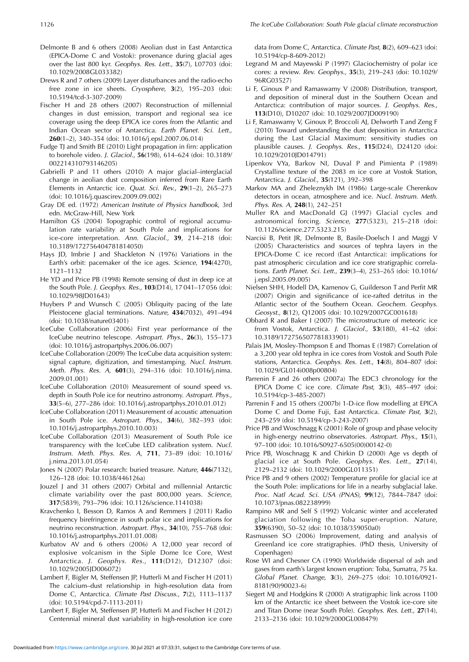- Delmonte B and 6 others (2008) Aeolian dust in East Antarctica (EPICA-Dome C and Vostok): provenance during glacial ages over the last 800 kyr. *Geophys. Res. Lett.*, **35**(7), L07703 (doi: 10.1029/2008GL033382)
- Drews R and 7 others (2009) Layer disturbances and the radio-echo free zone in ice sheets. *Cryosphere*, **3**(2), 195–203 (doi: 10.5194/tcd-3-307-2009)
- Fischer H and 28 others (2007) Reconstruction of millennial changes in dust emission, transport and regional sea ice coverage using the deep EPICA ice cores from the Atlantic and Indian Ocean sector of Antarctica. *Earth Planet. Sci. Lett.*, **260**(1–2), 340–354 (doi: 10.1016/j.epsl.2007.06.014)
- Fudge TJ and Smith BE (2010) Light propagation in firn: application to borehole video. *J. Glaciol.*, **56**(198), 614–624 (doi: 10.3189/ 002214310793146205)
- Gabrielli P and 11 others (2010) A major glacial–interglacial change in aeolian dust composition inferred from Rare Earth Elements in Antarctic ice. *Quat. Sci. Rev.*, **29**(1–2), 265–273 (doi: 10.1016/j.quascirev.2009.09.002)
- Gray DE ed. (1972) *American Institute of Physics handbook*, 3rd edn. McGraw-Hill, New York
- Hamilton GS (2004) Topographic control of regional accumulation rate variability at South Pole and implications for ice-core interpretation. *Ann. Glaciol.,* **39**, 214–218 (doi: 10.3189/172756404781814050)
- Hays JD, Imbrie J and Shackleton N (1976) Variations in the Earth's orbit: pacemaker of the ice ages. *Science*, **194**(4270), 1121–1132
- He YD and Price PB (1998) Remote sensing of dust in deep ice at the South Pole. *J. Geophys. Res.*, **103**(D14), 17 041–17 056 (doi: 10.1029/98JD01643)
- Huybers P and Wunsch C (2005) Obliquity pacing of the late Pleistocene glacial terminations. *Nature*, **434**(7032), 491–494 (doi: 10.1038/nature03401)
- IceCube Collaboration (2006) First year performance of the IceCube neutrino telescope. *Astropart. Phys.*, **26**(3), 155–173 (doi: 10.1016/j.astropartphys.2006.06.007)
- IceCube Collaboration (2009) The IceCube data acquisition system: signal capture, digitization, and timestamping. *Nucl. Instrum. Meth. Phys. Res. A*, **601**(3), 294–316 (doi: 10.1016/j.nima. 2009.01.001)
- IceCube Collaboration (2010) Measurement of sound speed vs. depth in South Pole ice for neutrino astronomy. *Astropart. Phys.*, **33**(5–6), 277–286 (doi: 10.1016/j.astropartphys.2010.01.012)
- IceCube Collaboration (2011) Measurement of acoustic attenuation in South Pole ice. *Astropart. Phys.*, **34**(6), 382–393 (doi: 10.1016/j.astropartphys.2010.10.003)
- IceCube Collaboration (2013) Measurement of South Pole ice transparency with the IceCube LED calibration system. *Nucl. Instrum. Meth. Phys. Res. A*, **711**, 73–89 (doi: 10.1016/ j.nima.2013.01.054)
- Jones N (2007) Polar research: buried treasure. *Nature*, **446**(7132), 126–128 (doi: 10.1038/446126a)
- Jouzel J and 31 others (2007) Orbital and millennial Antarctic climate variability over the past 800,000 years. *Science*, **317**(5839), 793–796 (doi: 10.1126/science.1141038)
- Kravchenko I, Besson D, Ramos A and Remmers J (2011) Radio frequency birefringence in south polar ice and implications for neutrino reconstruction. *Astropart. Phys.*, **34**(10), 755–768 (doi: 10.1016/j.astropartphys.2011.01.008)
- Kurbatov AV and 6 others (2006) A 12,000 year record of explosive volcanism in the Siple Dome Ice Core, West Antarctica. *J. Geophys. Res.*, **111**(D12), D12307 (doi: 10.1029/2005JD006072)
- Lambert F, Bigler M, Steffensen JP, Hutterli M and Fischer H (2011) The calcium–dust relationship in high-resolution data from Dome C, Antarctica. *Climate Past Discuss.*, **7**(2), 1113–1137 (doi: 10.5194/cpd-7-1113-2011)
- Lambert F, Bigler M, Steffensen JP, Hutterli M and Fischer H (2012) Centennial mineral dust variability in high-resolution ice core

data from Dome C, Antarctica. *Climate Past*, **8**(2), 609–623 (doi: 10.5194/cp-8-609-2012)

- Legrand M and Mayewski P (1997) Glaciochemistry of polar ice cores: a review. *Rev. Geophys.*, **35**(3), 219–243 (doi: 10.1029/ 96RG03527)
- Li F, Ginoux P and Ramaswamy V (2008) Distribution, transport, and deposition of mineral dust in the Southern Ocean and Antarctica: contribution of major sources. *J. Geophys. Res.*, **113**(D10), D10207 (doi: 10.1029/2007JD009190)
- Li F, Ramaswamy V, Ginoux P, Broccoli AJ, Delworth T and Zeng F (2010) Toward understanding the dust deposition in Antarctica during the Last Glacial Maximum: sensitivity studies on plausible causes. *J. Geophys. Res.*, **115**(D24), D24120 (doi: 10.1029/2010JD014791)
- Lipenkov VYa, Barkov NI, Duval P and Pimienta P (1989) Crystalline texture of the 2083 m ice core at Vostok Station, Antarctica. *J. Glaciol.*, **35**(121), 392–398
- Markov MA and Zheleznykh IM (1986) Large-scale Cherenkov detectors in ocean, atmosphere and ice. *Nucl. Instrum. Meth. Phys. Res. A*, **248**(1), 242–251
- Muller RA and MacDonald GJ (1997) Glacial cycles and astronomical forcing. *Science*, **277**(5323), 215–218 (doi: 10.1126/science.277.5323.215)
- Narcisi B, Petit JR, Delmonte B, Basile-Doelsch I and Maggi V (2005) Characteristics and sources of tephra layers in the EPICA-Dome C ice record (East Antarctica): implications for past atmospheric circulation and ice core stratigraphic correlations. *Earth Planet. Sci. Lett.*, **239**(3–4), 253–265 (doi: 10.1016/ j.epsl.2005.09.005)
- Nielsen SHH, Hodell DA, Kamenov G, Guilderson T and Perfit MR (2007) Origin and significance of ice-rafted detritus in the Atlantic sector of the Southern Ocean. *Geochem. Geophys. Geosyst.*, **8**(12), Q12005 (doi: 10.1029/2007GC001618)
- Obbard R and Baker I (2007) The microstructure of meteoric ice from Vostok, Antarctica. *J. Glaciol.*, **53**(180), 41–62 (doi: 10.3189/172756507781833901)
- Palais JM, Mosley-Thompson E and Thomas E (1987) Correlation of a 3,200 year old tephra in ice cores from Vostok and South Pole stations, Antarctica. *Geophys. Res. Lett.*, **14**(8), 804–807 (doi: 10.1029/GL014i008p00804)
- Parrenin F and 26 others (2007a) The EDC3 chronology for the EPICA Dome C ice core. *Climate Past*, **3**(3), 485–497 (doi: 10.5194/cp-3-485-2007)
- Parrenin F and 15 others (2007b) 1-D-ice flow modelling at EPICA Dome C and Dome Fuji, East Antarctica. *Climate Past*, **3**(2), 243–259 (doi: 10.5194/cp-3-243-2007)
- Price PB and Woschnagg K (2001) Role of group and phase velocity in high-energy neutrino observatories. *Astropart. Phys.*, **15**(1), 97–100 (doi: 10.1016/S0927-6505(00)00142-0)
- Price PB, Woschnagg K and Chirkin D (2000) Age vs depth of glacial ice at South Pole. *Geophys. Res. Lett.*, **27**(14), 2129–2132 (doi: 10.1029/2000GL011351)
- Price PB and 9 others (2002) Temperature profile for glacial ice at the South Pole: implications for life in a nearby subglacial lake. *Proc. Natl Acad. Sci. USA (PNAS)*, **99**(12), 7844–7847 (doi: 10.1073/pnas.082238999)
- Rampino MR and Self S (1992) Volcanic winter and accelerated glaciation following the Toba super-eruption. *Nature*, **359**(6390), 50–52 (doi: 10.1038/359050a0)
- Rasmussen SO (2006) Improvement, dating and analysis of Greenland ice core stratigraphies. (PhD thesis, University of Copenhagen)
- Rose WI and Chesner CA (1990) Worldwide dispersal of ash and gases from earth's largest known eruption: Toba, Sumatra, 75 ka. *Global Planet. Change*, **3**(3), 269–275 (doi: 10.1016/0921- 8181(90)90023-6)
- Siegert MJ and Hodgkins R (2000) A stratigraphic link across 1100 km of the Antarctic ice sheet between the Vostok ice-core site and Titan Dome (near South Pole). *Geophys. Res. Lett.*, **27**(14), 2133–2136 (doi: 10.1029/2000GL008479)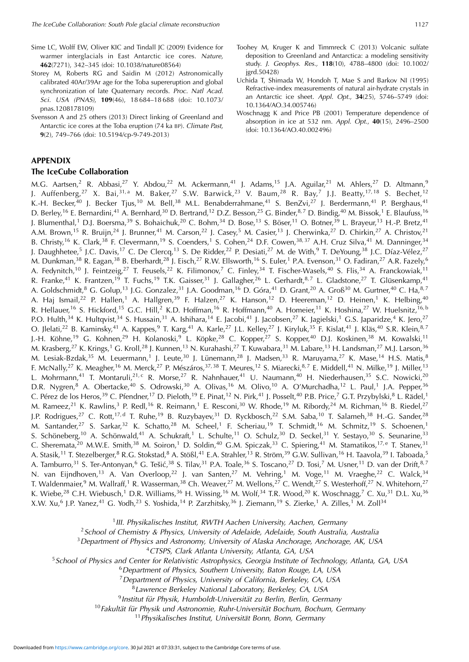- Sime LC, Wolff EW, Oliver KIC and Tindall JC (2009) Evidence for warmer interglacials in East Antarctic ice cores. *Nature*, **462**(7271), 342–345 (doi: 10.1038/nature08564)
- Storey M, Roberts RG and Saidin M (2012) Astronomically calibrated 40Ar/39Ar age for the Toba supereruption and global synchronization of late Quaternary records. *Proc. Natl Acad. Sci. USA (PNAS)*, **109**(46), 18 684–18 688 (doi: 10.1073/ pnas.1208178109)
- Svensson A and 25 others (2013) Direct linking of Greenland and Antarctic ice cores at the Toba eruption (74 ka BP). *Climate Past*, **9**(2), 749–766 (doi: 10.5194/cp-9-749-2013)

## **APPENDIX**

#### **The IceCube Collaboration**

- Toohey M, Kruger K and Timmreck C (2013) Volcanic sulfate deposition to Greenland and Antarctica: a modeling sensitivity study. *J. Geophys. Res.,* **118**(10), 4788–4800 (doi: 10.1002/ jgrd.50428)
- Uchida T, Shimada W, Hondoh T, Mae S and Barkov NI (1995) Refractive-index measurements of natural air-hydrate crystals in an Antarctic ice sheet. *Appl. Opt.*, **34**(25), 5746–5749 (doi: 10.1364/AO.34.005746)
- Woschnagg K and Price PB (2001) Temperature dependence of absorption in ice at 532 nm. *Appl. Opt.*, **40**(15), 2496–2500 (doi: 10.1364/AO.40.002496)

M.G. Aartsen,<sup>2</sup> R. Abbasi,<sup>27</sup> Y. Abdou,<sup>22</sup> M. Ackermann,<sup>41</sup> J. Adams,<sup>15</sup> J.A. Aguilar,<sup>21</sup> M. Ahlers,<sup>27</sup> D. Altmann,<sup>9</sup> J. Auffenberg, $^{27}$  X. Bai, $^{31, a}$  M. Baker, $^{27}$  S.W. Barwick, $^{23}$  V. Baum, $^{28}$  R. Bay, $^7$  J.J. Beatty, $^{17, 18}$  S. Bechet, $^{12}$ K.-H. Becker,<sup>40</sup> J. Becker Tjus,<sup>10</sup> M. Bell,<sup>38</sup> M.L. Benabderrahmane,<sup>41</sup> S. BenZvi,<sup>27</sup> J. Berdermann,<sup>41</sup> P. Berghaus,<sup>41</sup> D. Berley,<sup>16</sup> E. Bernardini,<sup>41</sup> A. Bernhard,<sup>30</sup> D. Bertrand,<sup>12</sup> D.Z. Besson,<sup>25</sup> G. Binder,<sup>8,7</sup> D. Bindig,<sup>40</sup> M. Bissok,<sup>1</sup> E. Blaufuss,<sup>16</sup> J. Blumenthal,<sup>1</sup> D.J. Boersma,<sup>39</sup> S. Bohaichuk,<sup>20</sup> C. Bohm,<sup>34</sup> D. Bose,<sup>13</sup> S. Böser,<sup>11</sup> O. Botner,<sup>39</sup> L. Brayeur,<sup>13</sup> H.-P. Bretz,<sup>41</sup> A.M. Brown,<sup>15</sup> R. Bruijn,<sup>24</sup> J. Brunner,<sup>41</sup> M. Carson,<sup>22</sup> J. Casey,<sup>5</sup> M. Casier,<sup>13</sup> J. Cherwinka,<sup>27</sup> D. Chirkin,<sup>27</sup> A. Christov,<sup>21</sup> B. Christy,<sup>16</sup> K. Clark,<sup>38</sup> F. Clevermann,<sup>19</sup> S. Coenders,<sup>1</sup> S. Cohen,<sup>24</sup> D.F. Cowen,<sup>38,37</sup> A.H. Cruz Silva,<sup>41</sup> M. Danninger,<sup>34</sup> J. Daughhetee,<sup>5</sup> J.C. Davis,<sup>17</sup> C. De Clercq,<sup>13</sup> S. De Ridder,<sup>22</sup> P. Desiati,<sup>27</sup> M. de With,<sup>9</sup> T. DeYoung,<sup>38</sup> J.C. Díaz-Vélez,<sup>27</sup> M. Dunkman, $^{38}$  R. Eagan, $^{38}$  B. Eberhardt, $^{28}$  J. Eisch, $^{27}$  R.W. Ellsworth, $^{16}$  S. Euler, $^1$  P.A. Evenson, $^{31}$  O. Fadiran, $^{27}$  A.R. Fazely, $^6$ A. Fedynitch,<sup>10</sup> J. Feintzeig,<sup>27</sup> T. Feusels,<sup>22</sup> K. Filimonov,<sup>7</sup> C. Finley,<sup>34</sup> T. Fischer-Wasels,<sup>40</sup> S. Flis,<sup>34</sup> A. Franckowiak,<sup>11</sup> R. Franke,<sup>41</sup> K. Frantzen,<sup>19</sup> T. Fuchs,<sup>19</sup> T.K. Gaisser,<sup>31</sup> J. Gallagher,<sup>26</sup> L. Gerhardt,<sup>8,7</sup> L. Gladstone,<sup>27</sup> T. Glüsenkamp,<sup>41</sup> A. Goldschmidt,<sup>8</sup> G. Golup,<sup>13</sup> J.G. Gonzalez,<sup>31</sup> J.A. Goodman,<sup>16</sup> D. Góra,<sup>41</sup> D. Grant,<sup>20</sup> A. Groß<sup>30</sup> M. Gurtner,<sup>40</sup> C. Ha,<sup>8,7</sup> A. Haj Ismail,<sup>22</sup> P. Hallen,<sup>1</sup> A. Hallgren,<sup>39</sup> F. Halzen,<sup>27</sup> K. Hanson,<sup>12</sup> D. Heereman,<sup>12</sup> D. Heinen,<sup>1</sup> K. Helbing,<sup>40</sup> R. Hellauer,<sup>16</sup> S. Hickford,<sup>15</sup> G.C. Hill,<sup>2</sup> K.D. Hoffman,<sup>16</sup> R. Hoffmann,<sup>40</sup> A. Homeier,<sup>11</sup> K. Hoshina,<sup>27</sup> W. Huelsnitz,<sup>16, b</sup> P.O. Hulth,<sup>34</sup> K. Hultqvist,<sup>34</sup> S. Hussain,<sup>31</sup> A. Ishihara,<sup>14</sup> E. Jacobi,<sup>41</sup> J. Jacobsen,<sup>27</sup> K. Jagielski,<sup>1</sup> G.S. Japaridze,<sup>4</sup> K. Jero,<sup>27</sup> O. Jlelati,<sup>22</sup> B. Kaminsky,<sup>41</sup> A. Kappes,<sup>9</sup> T. Karg,<sup>41</sup> A. Karle,<sup>27</sup> J.L. Kelley,<sup>27</sup> J. Kiryluk,<sup>35</sup> F. Kislat,<sup>41</sup> J. Kläs,<sup>40</sup> S.R. Klein,<sup>8,7</sup> J.-H. Köhne,<sup>19</sup> G. Kohnen,<sup>29</sup> H. Kolanoski,<sup>9</sup> L. Köpke,<sup>28</sup> C. Kopper,<sup>27</sup> S. Kopper,<sup>40</sup> D.J. Koskinen,<sup>38</sup> M. Kowalski,<sup>11</sup> M. Krasberg,<sup>27</sup> K. Krings,<sup>1</sup> G. Kroll,<sup>28</sup> J. Kunnen,<sup>13</sup> N. Kurahashi,<sup>27</sup> T. Kuwabara,<sup>31</sup> M. Labare,<sup>13</sup> H. Landsman,<sup>27</sup> M.J. Larson,<sup>36</sup> M. Lesiak-Bzdak,<sup>35</sup> M. Leuermann,<sup>1</sup> J. Leute,<sup>30</sup> J. Lünemann,<sup>28</sup> J. Madsen,<sup>33</sup> R. Maruyama,<sup>27</sup> K. Mase,<sup>14</sup> H.S. Matis,<sup>8</sup> F. McNally,<sup>27</sup> K. Meagher,<sup>16</sup> M. Merck,<sup>27</sup> P. Mészáros,<sup>37,38</sup> T. Meures,<sup>12</sup> S. Miarecki,<sup>8,7</sup> E. Middell,<sup>41</sup> N. Milke,<sup>19</sup> J. Miller,<sup>13</sup> L. Mohrmann,<sup>41</sup> T. Montaruli,<sup>21, c</sup> R. Morse,<sup>27</sup> R. Nahnhauer,<sup>41</sup> U. Naumann,<sup>40</sup> H. Niederhausen,<sup>35</sup> S.C. Nowicki,<sup>20</sup> D.R. Nygren,<sup>8</sup> A. Obertacke,<sup>40</sup> S. Odrowski,<sup>30</sup> A. Olivas,<sup>16</sup> M. Olivo,<sup>10</sup> A. O'Murchadha,<sup>12</sup> L. Paul,<sup>1</sup> J.A. Pepper,<sup>36</sup> C. Pérez de los Heros,<sup>39</sup> C. Pfendner,<sup>17</sup> D. Pieloth,<sup>19</sup> E. Pinat,<sup>12</sup> N. Pirk,<sup>41</sup> J. Posselt,<sup>40</sup> P.B. Price,<sup>7</sup> G.T. Przybylski,<sup>8</sup> L. Rädel,<sup>1</sup> M. Rameez,<sup>21</sup> K. Rawlins,<sup>3</sup> P. Redl,<sup>16</sup> R. Reimann,<sup>1</sup> E. Resconi,<sup>30</sup> W. Rhode,<sup>19</sup> M. Ribordy,<sup>24</sup> M. Richman,<sup>16</sup> B. Riedel,<sup>27</sup> J.P. Rodrigues,<sup>27</sup> C. Rott,<sup>17, d</sup> T. Ruhe,<sup>19</sup> B. Ruzybayev,<sup>31</sup> D. Ryckbosch,<sup>22</sup> S.M. Saba,<sup>10</sup> T. Salameh,<sup>38</sup> H.-G. Sander,<sup>28</sup> M. Santander,<sup>27</sup> S. Sarkar,<sup>32</sup> K. Schatto,<sup>28</sup> M. Scheel,<sup>1</sup> F. Scheriau,<sup>19</sup> T. Schmidt,<sup>16</sup> M. Schmitz,<sup>19</sup> S. Schoenen,<sup>1</sup> S. Schöneberg,<sup>10</sup> A. Schönwald,<sup>41</sup> A. Schukraft,<sup>1</sup> L. Schulte,<sup>11</sup> O. Schulz,<sup>30</sup> D. Seckel,<sup>31</sup> Y. Sestayo,<sup>30</sup> S. Seunarine,<sup>33</sup> C. Sheremata,<sup>20</sup> M.W.E. Smith,<sup>38</sup> M. Soiron,<sup>1</sup> D. Soldin,<sup>40</sup> G.M. Spiczak,<sup>33</sup> C. Spiering,<sup>41</sup> M. Stamatikos,<sup>17, e</sup> T. Stanev,<sup>31</sup> A. Stasik,<sup>11</sup> T. Stezelberger,<sup>8</sup> R.G. Stokstad,<sup>8</sup> A. Stößl,<sup>41</sup> E.A. Strahler,<sup>13</sup> R. Ström,<sup>39</sup> G.W. Sullivan,<sup>16</sup> H. Taavola,<sup>39</sup> I. Taboada,<sup>5</sup> A. Tamburro,<sup>31</sup> S. Ter-Antonyan,<sup>6</sup> G. Tešić,<sup>38</sup> S. Tilav,<sup>31</sup> P.A. Toale,<sup>36</sup> S. Toscano,<sup>27</sup> D. Tosi,<sup>7</sup> M. Usner,<sup>11</sup> D. van der Drift,<sup>8,7</sup> N. van Eijndhoven,<sup>13</sup> A. Van Overloop,<sup>22</sup> J. van Santen,<sup>27</sup> M. Vehring,<sup>1</sup> M. Voge,<sup>11</sup> M. Vraeghe,<sup>22</sup> C. Walck,<sup>34</sup> T. Waldenmaier,<sup>9</sup> M. Wallraff,<sup>1</sup> R. Wasserman,<sup>38</sup> Ch. Weaver,<sup>27</sup> M. Wellons,<sup>27</sup> C. Wendt,<sup>27</sup> S. Westerhoff,<sup>27</sup> N. Whitehorn,<sup>27</sup> K. Wiebe,<sup>28</sup> C.H. Wiebusch,<sup>1</sup> D.R. Williams,<sup>36</sup> H. Wissing,<sup>16</sup> M. Wolf,<sup>34</sup> T.R. Wood,<sup>20</sup> K. Woschnagg,<sup>7</sup> C. Xu,<sup>31</sup> D.L. Xu,<sup>36</sup> X.W. Xu,<sup>6</sup> J.P. Yanez,<sup>41</sup> G. Yodh,<sup>23</sup> S. Yoshida,<sup>14</sup> P. Zarzhitsky,<sup>36</sup> J. Ziemann,<sup>19</sup> S. Zierke,<sup>1</sup> A. Zilles,<sup>1</sup> M. Zoll<sup>34</sup>

1 *III. Physikalisches Institut, RWTH Aachen University, Aachen, Germany*

<sup>2</sup>*School of Chemistry & Physics, University of Adelaide, Adelaide, South Australia, Australia*

<sup>3</sup>*Department of Physics and Astronomy, University of Alaska Anchorage, Anchorage, AK, USA*

<sup>4</sup>*CTSPS, Clark Atlanta University, Atlanta, GA, USA*

<sup>5</sup>*School of Physics and Center for Relativistic Astrophysics, Georgia Institute of Technology, Atlanta, GA, USA*

<sup>6</sup>*Department of Physics, Southern University, Baton Rouge, LA, USA*

<sup>7</sup>*Department of Physics, University of California, Berkeley, CA, USA*

<sup>8</sup>*Lawrence Berkeley National Laboratory, Berkeley, CA, USA*

<sup>9</sup> Institut für Physik, Humboldt-Universität zu Berlin, Berlin, Germany

<sup>10</sup> Fakultät für Physik und Astronomie, Ruhr-Universität Bochum, Bochum, Germany

<sup>11</sup> Physikalisches Institut, Universität Bonn, Bonn, Germany